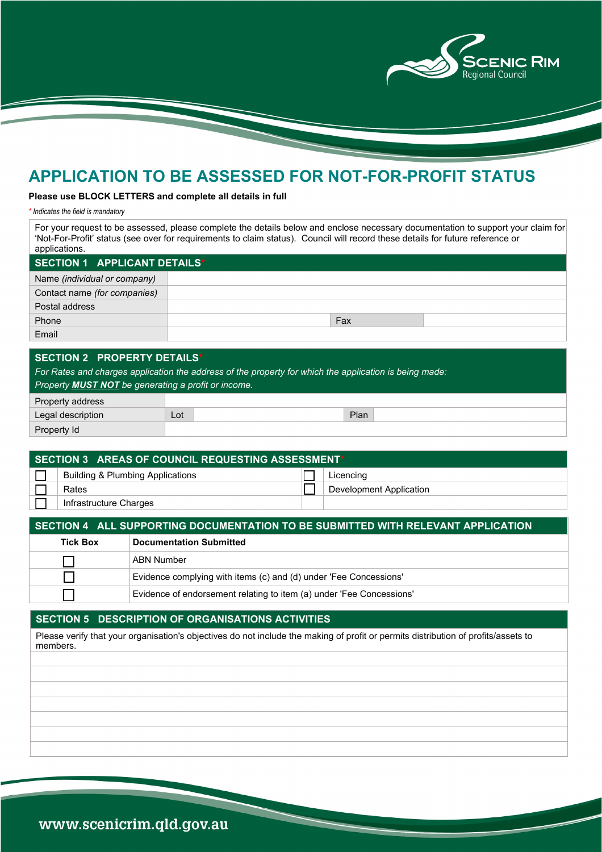

# **APPLICATION TO BE ASSESSED FOR NOT-FOR-PROFIT STATUS**

### **Please use BLOCK LETTERS and complete all details in full**

*\* Indicates the field is mandatory*

For your request to be assessed, please complete the details below and enclose necessary documentation to support your claim for 'Not-For-Profit' status (see over for requirements to claim status). Council will record these details for future reference or applications.

| SECTION 1 APPLICANT DETAILS* |  |     |  |  |
|------------------------------|--|-----|--|--|
| Name (individual or company) |  |     |  |  |
| Contact name (for companies) |  |     |  |  |
| Postal address               |  |     |  |  |
| Phone                        |  | Fax |  |  |
| Email                        |  |     |  |  |

### **SECTION 2 - PROPERTY DETAILS\***

*For Rates and charges application the address of the property for which the application is being made: Property MUST NOT be generating a profit or income.*

| Property address  |     |      |
|-------------------|-----|------|
| Legal description | Lot | Plan |
| Property Id       |     |      |

| ▎SECTION 3 AREAS OF COUNCIL REQUESTING ASSESSMENT* |                                             |  |                                |  |  |
|----------------------------------------------------|---------------------------------------------|--|--------------------------------|--|--|
|                                                    | <b>Building &amp; Plumbing Applications</b> |  | Licencing                      |  |  |
|                                                    | Rates                                       |  | <b>Development Application</b> |  |  |
|                                                    | Infrastructure Charges                      |  |                                |  |  |

#### **SECTION 4 - ALL SUPPORTING DOCUMENTATION TO BE SUBMITTED WITH RELEVANT APPLICATION**

| <b>Tick Box</b> | <b>Documentation Submitted</b>                                       |
|-----------------|----------------------------------------------------------------------|
|                 | ABN Number                                                           |
|                 | Evidence complying with items (c) and (d) under 'Fee Concessions'    |
|                 | Evidence of endorsement relating to item (a) under 'Fee Concessions' |

# **SECTION 5 - DESCRIPTION OF ORGANISATIONS ACTIVITIES**

Please verify that your organisation's objectives do not include the making of profit or permits distribution of profits/assets to members.

www.scenicrim.qld.gov.au